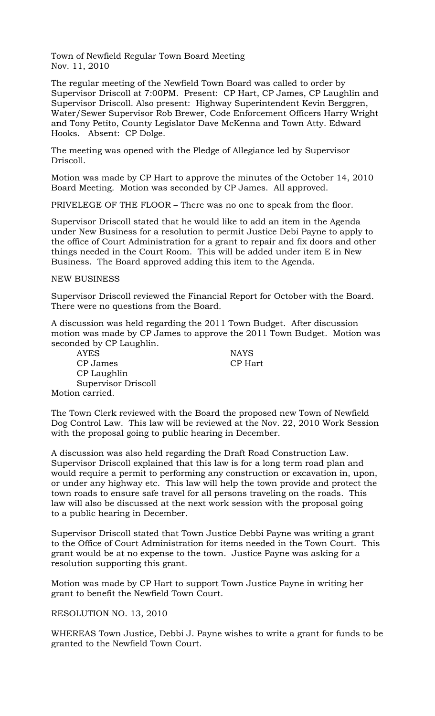Town of Newfield Regular Town Board Meeting Nov. 11, 2010

The regular meeting of the Newfield Town Board was called to order by Supervisor Driscoll at 7:00PM. Present: CP Hart, CP James, CP Laughlin and Supervisor Driscoll. Also present: Highway Superintendent Kevin Berggren, Water/Sewer Supervisor Rob Brewer, Code Enforcement Officers Harry Wright and Tony Petito, County Legislator Dave McKenna and Town Atty. Edward Hooks. Absent: CP Dolge.

The meeting was opened with the Pledge of Allegiance led by Supervisor Driscoll.

Motion was made by CP Hart to approve the minutes of the October 14, 2010 Board Meeting. Motion was seconded by CP James. All approved.

PRIVELEGE OF THE FLOOR – There was no one to speak from the floor.

Supervisor Driscoll stated that he would like to add an item in the Agenda under New Business for a resolution to permit Justice Debi Payne to apply to the office of Court Administration for a grant to repair and fix doors and other things needed in the Court Room. This will be added under item E in New Business. The Board approved adding this item to the Agenda.

## NEW BUSINESS

Supervisor Driscoll reviewed the Financial Report for October with the Board. There were no questions from the Board.

A discussion was held regarding the 2011 Town Budget. After discussion motion was made by CP James to approve the 2011 Town Budget. Motion was seconded by CP Laughlin.

AYES NAYS CP James CP Hart CP Laughlin Supervisor Driscoll Motion carried.

The Town Clerk reviewed with the Board the proposed new Town of Newfield Dog Control Law. This law will be reviewed at the Nov. 22, 2010 Work Session with the proposal going to public hearing in December.

A discussion was also held regarding the Draft Road Construction Law. Supervisor Driscoll explained that this law is for a long term road plan and would require a permit to performing any construction or excavation in, upon, or under any highway etc. This law will help the town provide and protect the town roads to ensure safe travel for all persons traveling on the roads. This law will also be discussed at the next work session with the proposal going to a public hearing in December.

Supervisor Driscoll stated that Town Justice Debbi Payne was writing a grant to the Office of Court Administration for items needed in the Town Court. This grant would be at no expense to the town. Justice Payne was asking for a resolution supporting this grant.

Motion was made by CP Hart to support Town Justice Payne in writing her grant to benefit the Newfield Town Court.

## RESOLUTION NO. 13, 2010

WHEREAS Town Justice, Debbi J. Payne wishes to write a grant for funds to be granted to the Newfield Town Court.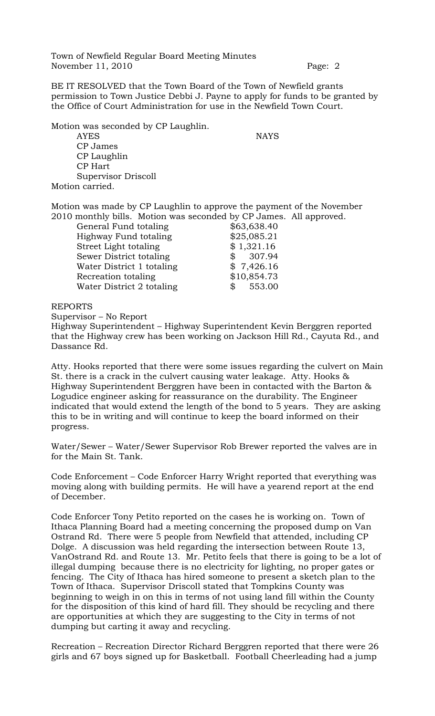Town of Newfield Regular Board Meeting Minutes November 11, 2010 Page: 2

BE IT RESOLVED that the Town Board of the Town of Newfield grants permission to Town Justice Debbi J. Payne to apply for funds to be granted by the Office of Court Administration for use in the Newfield Town Court.

Motion was seconded by CP Laughlin. AYES NAYS CP James CP Laughlin CP Hart Supervisor Driscoll Motion carried.

Motion was made by CP Laughlin to approve the payment of the November 2010 monthly bills. Motion was seconded by CP James. All approved.

| General Fund totaling     | \$63,638.40            |
|---------------------------|------------------------|
| Highway Fund totaling     | \$25,085.21            |
| Street Light totaling     | \$1,321.16             |
| Sewer District totaling   | \$307.94               |
| Water District 1 totaling | \$7,426.16             |
| Recreation totaling       | \$10,854.73            |
| Water District 2 totaling | 553.00<br>$\mathbb{S}$ |

## REPORTS

Supervisor – No Report

Highway Superintendent – Highway Superintendent Kevin Berggren reported that the Highway crew has been working on Jackson Hill Rd., Cayuta Rd., and Dassance Rd.

Atty. Hooks reported that there were some issues regarding the culvert on Main St. there is a crack in the culvert causing water leakage. Atty. Hooks & Highway Superintendent Berggren have been in contacted with the Barton & Logudice engineer asking for reassurance on the durability. The Engineer indicated that would extend the length of the bond to 5 years. They are asking this to be in writing and will continue to keep the board informed on their progress.

Water/Sewer – Water/Sewer Supervisor Rob Brewer reported the valves are in for the Main St. Tank.

Code Enforcement – Code Enforcer Harry Wright reported that everything was moving along with building permits. He will have a yearend report at the end of December.

Code Enforcer Tony Petito reported on the cases he is working on. Town of Ithaca Planning Board had a meeting concerning the proposed dump on Van Ostrand Rd. There were 5 people from Newfield that attended, including CP Dolge. A discussion was held regarding the intersection between Route 13, VanOstrand Rd. and Route 13. Mr. Petito feels that there is going to be a lot of illegal dumping because there is no electricity for lighting, no proper gates or fencing. The City of Ithaca has hired someone to present a sketch plan to the Town of Ithaca. Supervisor Driscoll stated that Tompkins County was beginning to weigh in on this in terms of not using land fill within the County for the disposition of this kind of hard fill. They should be recycling and there are opportunities at which they are suggesting to the City in terms of not dumping but carting it away and recycling.

Recreation – Recreation Director Richard Berggren reported that there were 26 girls and 67 boys signed up for Basketball. Football Cheerleading had a jump